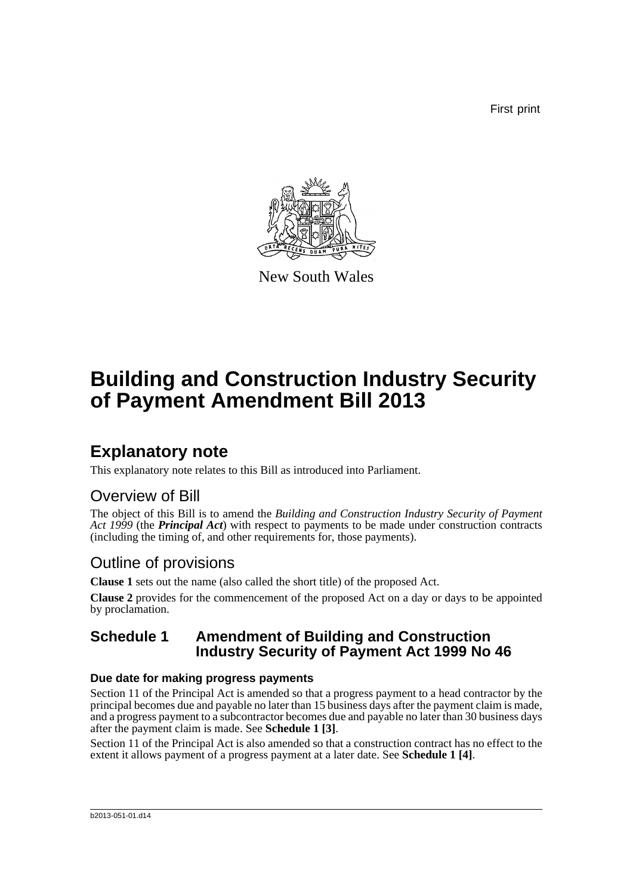First print



New South Wales

# **Building and Construction Industry Security of Payment Amendment Bill 2013**

## **Explanatory note**

This explanatory note relates to this Bill as introduced into Parliament.

## Overview of Bill

The object of this Bill is to amend the *Building and Construction Industry Security of Payment Act 1999* (the *Principal Act*) with respect to payments to be made under construction contracts (including the timing of, and other requirements for, those payments).

## Outline of provisions

**Clause 1** sets out the name (also called the short title) of the proposed Act.

**Clause 2** provides for the commencement of the proposed Act on a day or days to be appointed by proclamation.

### **Schedule 1 Amendment of Building and Construction Industry Security of Payment Act 1999 No 46**

### **Due date for making progress payments**

Section 11 of the Principal Act is amended so that a progress payment to a head contractor by the principal becomes due and payable no later than 15 business days after the payment claim is made, and a progress payment to a subcontractor becomes due and payable no later than 30 business days after the payment claim is made. See **Schedule 1 [3]**.

Section 11 of the Principal Act is also amended so that a construction contract has no effect to the extent it allows payment of a progress payment at a later date. See **Schedule 1 [4]**.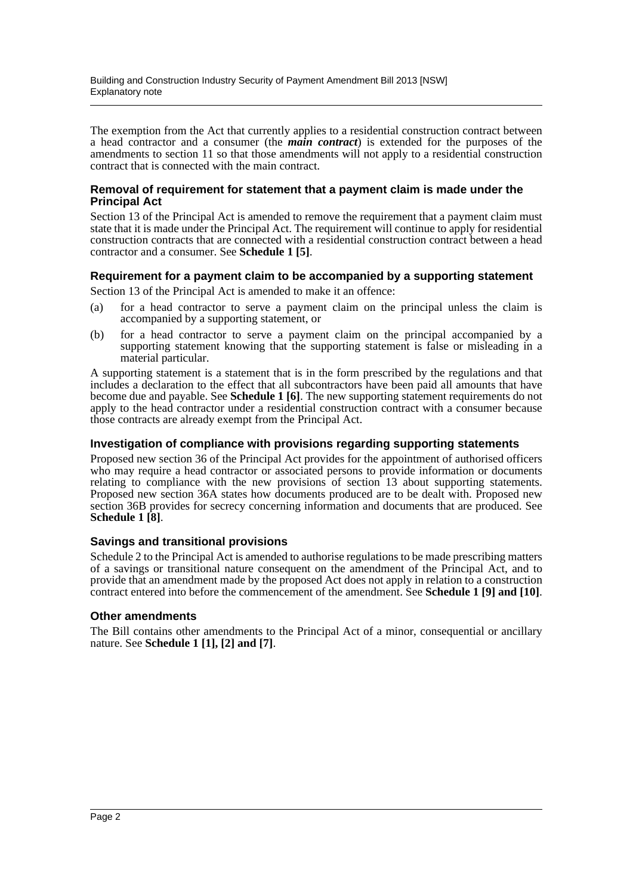The exemption from the Act that currently applies to a residential construction contract between a head contractor and a consumer (the *main contract*) is extended for the purposes of the amendments to section 11 so that those amendments will not apply to a residential construction contract that is connected with the main contract.

#### **Removal of requirement for statement that a payment claim is made under the Principal Act**

Section 13 of the Principal Act is amended to remove the requirement that a payment claim must state that it is made under the Principal Act. The requirement will continue to apply for residential construction contracts that are connected with a residential construction contract between a head contractor and a consumer. See **Schedule 1 [5]**.

#### **Requirement for a payment claim to be accompanied by a supporting statement**

Section 13 of the Principal Act is amended to make it an offence:

- (a) for a head contractor to serve a payment claim on the principal unless the claim is accompanied by a supporting statement, or
- (b) for a head contractor to serve a payment claim on the principal accompanied by a supporting statement knowing that the supporting statement is false or misleading in a material particular.

A supporting statement is a statement that is in the form prescribed by the regulations and that includes a declaration to the effect that all subcontractors have been paid all amounts that have become due and payable. See **Schedule 1 [6]**. The new supporting statement requirements do not apply to the head contractor under a residential construction contract with a consumer because those contracts are already exempt from the Principal Act.

#### **Investigation of compliance with provisions regarding supporting statements**

Proposed new section 36 of the Principal Act provides for the appointment of authorised officers who may require a head contractor or associated persons to provide information or documents relating to compliance with the new provisions of section 13 about supporting statements. Proposed new section 36A states how documents produced are to be dealt with. Proposed new section 36B provides for secrecy concerning information and documents that are produced. See **Schedule 1 [8]**.

#### **Savings and transitional provisions**

Schedule 2 to the Principal Act is amended to authorise regulations to be made prescribing matters of a savings or transitional nature consequent on the amendment of the Principal Act, and to provide that an amendment made by the proposed Act does not apply in relation to a construction contract entered into before the commencement of the amendment. See **Schedule 1 [9] and [10]**.

#### **Other amendments**

The Bill contains other amendments to the Principal Act of a minor, consequential or ancillary nature. See **Schedule 1 [1], [2] and [7]**.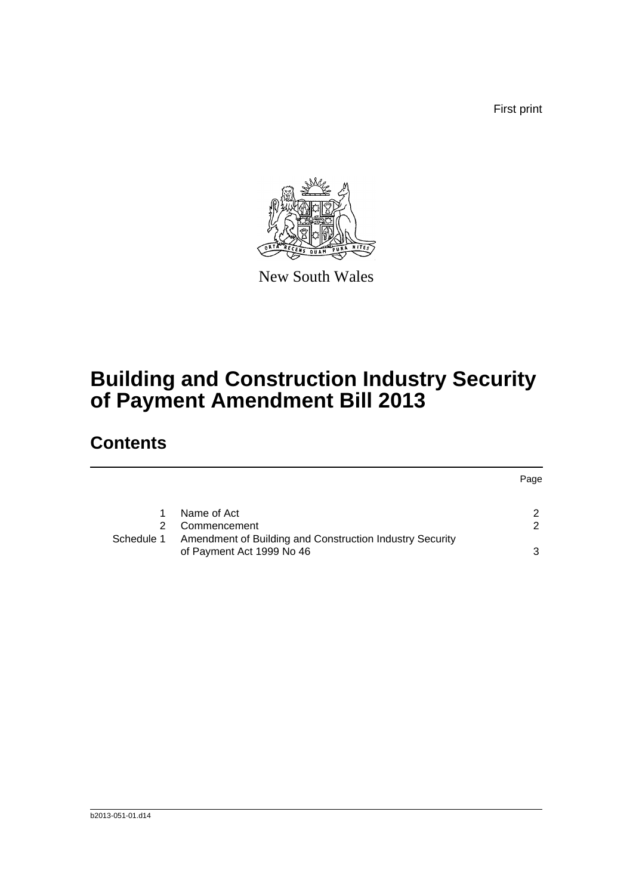First print



New South Wales

# **Building and Construction Industry Security of Payment Amendment Bill 2013**

## **Contents**

|            |                                                          | Page          |
|------------|----------------------------------------------------------|---------------|
|            | Name of Act                                              | $\mathcal{P}$ |
|            | Commencement                                             | $\mathcal{P}$ |
| Schedule 1 | Amendment of Building and Construction Industry Security |               |
|            | of Payment Act 1999 No 46                                | 3             |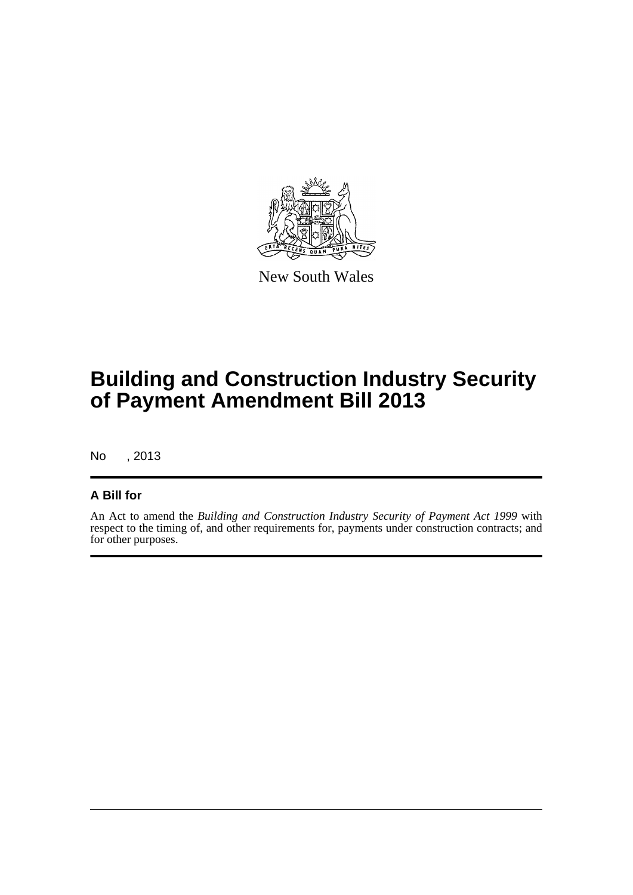

New South Wales

# **Building and Construction Industry Security of Payment Amendment Bill 2013**

No , 2013

#### **A Bill for**

An Act to amend the *Building and Construction Industry Security of Payment Act 1999* with respect to the timing of, and other requirements for, payments under construction contracts; and for other purposes.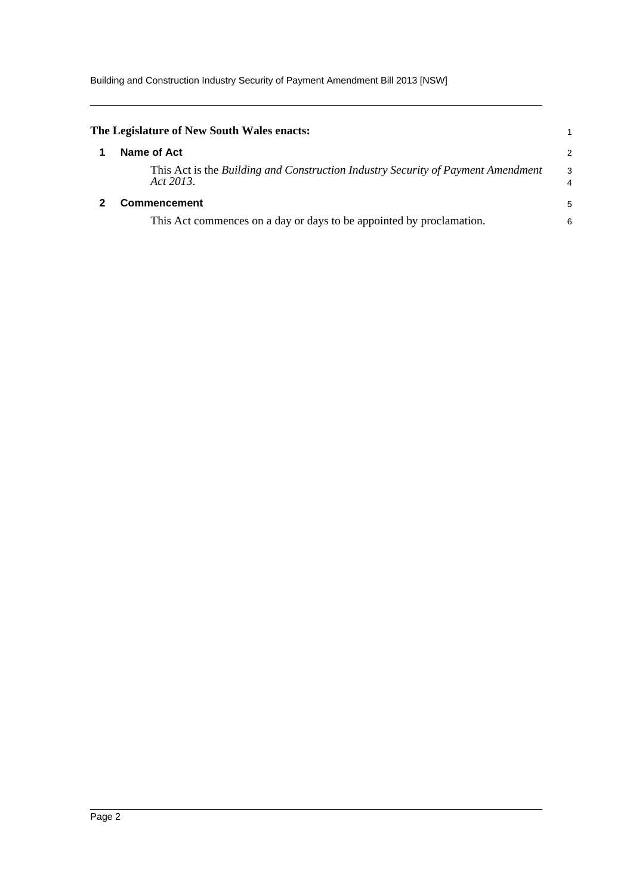Building and Construction Industry Security of Payment Amendment Bill 2013 [NSW]

<span id="page-4-1"></span><span id="page-4-0"></span>

| The Legislature of New South Wales enacts:                                                    |                     |
|-----------------------------------------------------------------------------------------------|---------------------|
| Name of Act                                                                                   | 2                   |
| This Act is the Building and Construction Industry Security of Payment Amendment<br>Act 2013. | 3<br>$\overline{4}$ |
| <b>Commencement</b>                                                                           | 5                   |
| This Act commences on a day or days to be appointed by proclamation.                          | 6                   |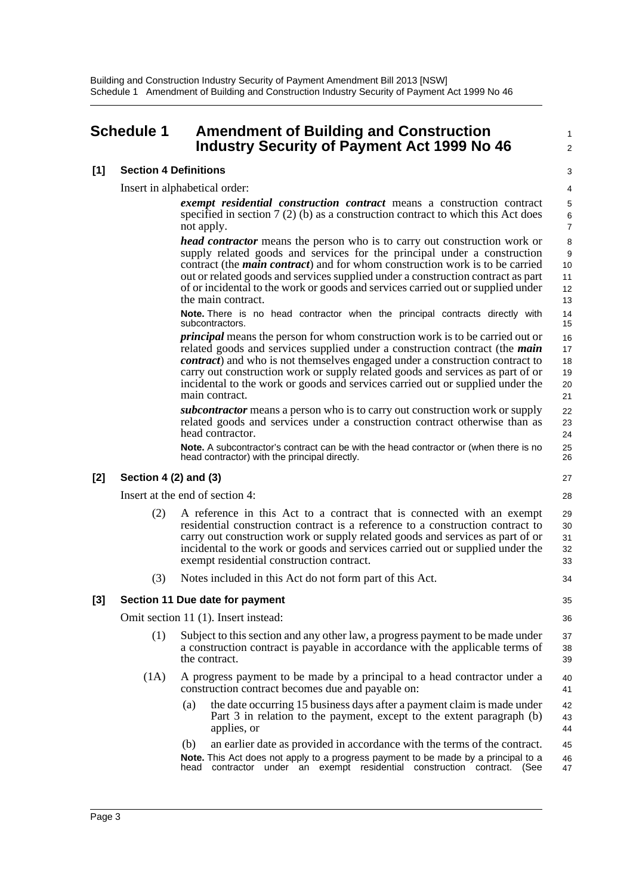### <span id="page-5-0"></span>**Schedule 1 Amendment of Building and Construction Industry Security of Payment Act 1999 No 46**

### 3 4

 $34$ 

1  $\overline{2}$ 

Insert in alphabetical order:

*exempt residential construction contract* means a construction contract specified in section 7 (2) (b) as a construction contract to which this Act does not apply.

*head contractor* means the person who is to carry out construction work or supply related goods and services for the principal under a construction contract (the *main contract*) and for whom construction work is to be carried out or related goods and services supplied under a construction contract as part of or incidental to the work or goods and services carried out or supplied under the main contract.

**Note.** There is no head contractor when the principal contracts directly with subcontractors.

*principal* means the person for whom construction work is to be carried out or related goods and services supplied under a construction contract (the *main contract*) and who is not themselves engaged under a construction contract to carry out construction work or supply related goods and services as part of or incidental to the work or goods and services carried out or supplied under the main contract.

*subcontractor* means a person who is to carry out construction work or supply related goods and services under a construction contract otherwise than as head contractor.

**Note.** A subcontractor's contract can be with the head contractor or (when there is no head contractor) with the principal directly.

#### **[2] Section 4 (2) and (3)**

**[1] Section 4 Definitions**

Insert at the end of section 4:

(2) A reference in this Act to a contract that is connected with an exempt residential construction contract is a reference to a construction contract to carry out construction work or supply related goods and services as part of or incidental to the work or goods and services carried out or supplied under the exempt residential construction contract. 29 30 31 32 33

(3) Notes included in this Act do not form part of this Act.

#### **[3] Section 11 Due date for payment**

Omit section 11 (1). Insert instead:

- (1) Subject to this section and any other law, a progress payment to be made under a construction contract is payable in accordance with the applicable terms of the contract.
- (1A) A progress payment to be made by a principal to a head contractor under a construction contract becomes due and payable on:  $40$ 41
	- (a) the date occurring 15 business days after a payment claim is made under Part 3 in relation to the payment, except to the extent paragraph (b) applies, or 42 43 44
	- (b) an earlier date as provided in accordance with the terms of the contract. **Note.** This Act does not apply to a progress payment to be made by a principal to a head contractor under an exempt residential construction contract. (See 45 46 47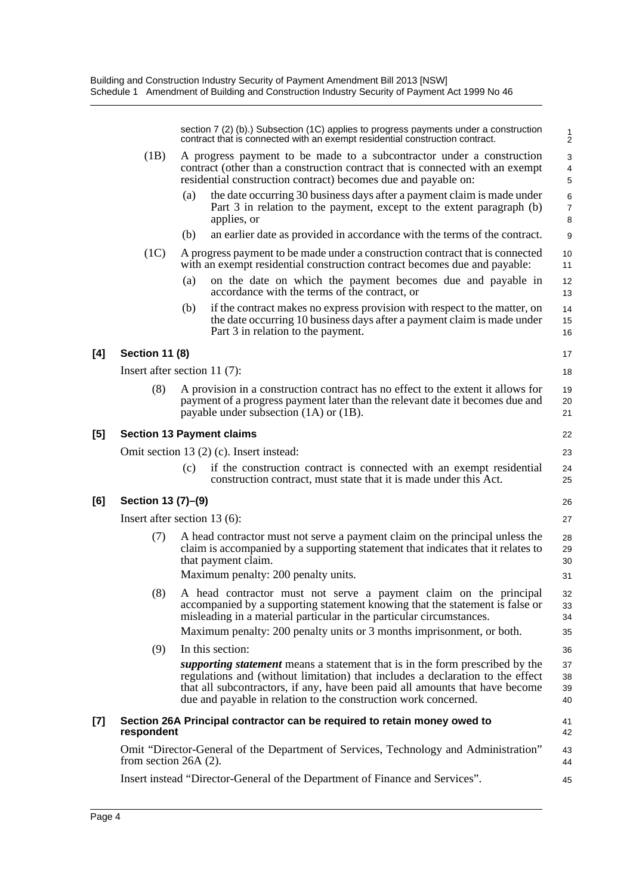|       |                         | section 7 (2) (b).) Subsection (1C) applies to progress payments under a construction<br>contract that is connected with an exempt residential construction contract.                                                                                                                                                    | $\frac{1}{2}$                     |
|-------|-------------------------|--------------------------------------------------------------------------------------------------------------------------------------------------------------------------------------------------------------------------------------------------------------------------------------------------------------------------|-----------------------------------|
|       | (1B)                    | A progress payment to be made to a subcontractor under a construction<br>contract (other than a construction contract that is connected with an exempt<br>residential construction contract) becomes due and payable on:                                                                                                 | 3<br>$\overline{\mathbf{4}}$<br>5 |
|       |                         | the date occurring 30 business days after a payment claim is made under<br>(a)<br>Part 3 in relation to the payment, except to the extent paragraph (b)<br>applies, or                                                                                                                                                   | 6<br>$\boldsymbol{7}$<br>8        |
|       |                         | an earlier date as provided in accordance with the terms of the contract.<br>(b)                                                                                                                                                                                                                                         | 9                                 |
|       | (1C)                    | A progress payment to be made under a construction contract that is connected<br>with an exempt residential construction contract becomes due and payable:                                                                                                                                                               | 10<br>11                          |
|       |                         | (a)<br>on the date on which the payment becomes due and payable in<br>accordance with the terms of the contract, or                                                                                                                                                                                                      | 12<br>13                          |
|       |                         | if the contract makes no express provision with respect to the matter, on<br>(b)<br>the date occurring 10 business days after a payment claim is made under<br>Part 3 in relation to the payment.                                                                                                                        | 14<br>15<br>16                    |
| [4]   | <b>Section 11 (8)</b>   |                                                                                                                                                                                                                                                                                                                          | 17                                |
|       |                         | Insert after section 11 $(7)$ :                                                                                                                                                                                                                                                                                          | 18                                |
|       | (8)                     | A provision in a construction contract has no effect to the extent it allows for<br>payment of a progress payment later than the relevant date it becomes due and<br>payable under subsection $(1A)$ or $(1B)$ .                                                                                                         | 19<br>20<br>21                    |
| [5]   |                         | <b>Section 13 Payment claims</b>                                                                                                                                                                                                                                                                                         | 22                                |
|       |                         | Omit section 13 (2) (c). Insert instead:                                                                                                                                                                                                                                                                                 | 23                                |
|       |                         | if the construction contract is connected with an exempt residential<br>(c)<br>construction contract, must state that it is made under this Act.                                                                                                                                                                         | 24<br>25                          |
| [6]   | Section 13 (7)–(9)      |                                                                                                                                                                                                                                                                                                                          | 26                                |
|       |                         | Insert after section $13(6)$ :                                                                                                                                                                                                                                                                                           | 27                                |
|       | (7)                     | A head contractor must not serve a payment claim on the principal unless the<br>claim is accompanied by a supporting statement that indicates that it relates to<br>that payment claim.                                                                                                                                  | 28<br>29<br>30                    |
|       |                         | Maximum penalty: 200 penalty units.                                                                                                                                                                                                                                                                                      | 31                                |
|       | (8)                     | A head contractor must not serve a payment claim on the principal<br>accompanied by a supporting statement knowing that the statement is false or<br>misleading in a material particular in the particular circumstances.                                                                                                | 32<br>33<br>34                    |
|       |                         | Maximum penalty: 200 penalty units or 3 months imprisonment, or both.                                                                                                                                                                                                                                                    | 35                                |
|       | (9)                     | In this section:                                                                                                                                                                                                                                                                                                         | 36                                |
|       |                         | <i>supporting statement</i> means a statement that is in the form prescribed by the<br>regulations and (without limitation) that includes a declaration to the effect<br>that all subcontractors, if any, have been paid all amounts that have become<br>due and payable in relation to the construction work concerned. | 37<br>38<br>39<br>40              |
| $[7]$ | respondent              | Section 26A Principal contractor can be required to retain money owed to                                                                                                                                                                                                                                                 | 41<br>42                          |
|       | from section $26A(2)$ . | Omit "Director-General of the Department of Services, Technology and Administration"                                                                                                                                                                                                                                     | 43<br>44                          |
|       |                         | Insert instead "Director-General of the Department of Finance and Services".                                                                                                                                                                                                                                             | 45                                |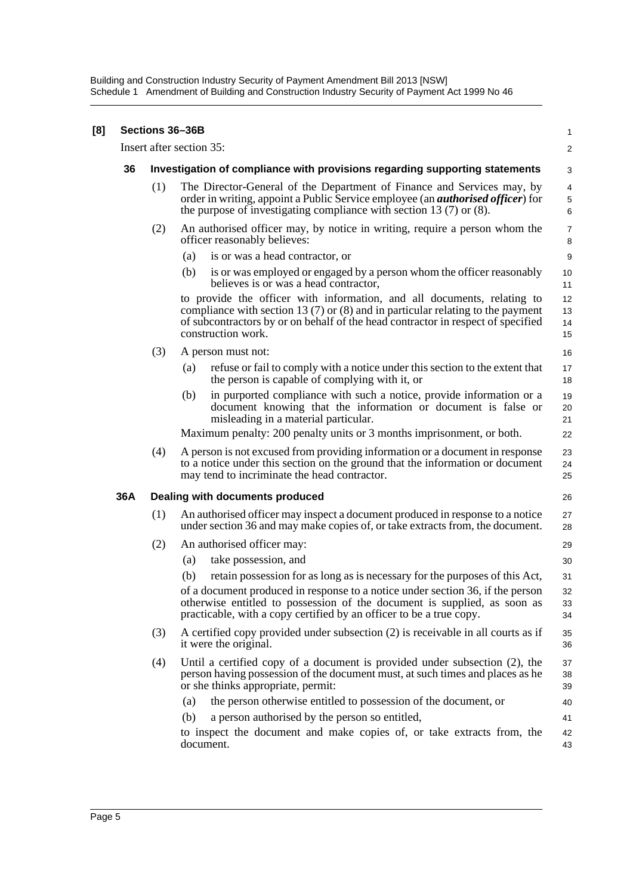Building and Construction Industry Security of Payment Amendment Bill 2013 [NSW] Schedule 1 Amendment of Building and Construction Industry Security of Payment Act 1999 No 46

| [8] |     | Sections 36-36B |                                                                                                                                                                                                                                                                          | 1                       |
|-----|-----|-----------------|--------------------------------------------------------------------------------------------------------------------------------------------------------------------------------------------------------------------------------------------------------------------------|-------------------------|
|     |     |                 | Insert after section 35:                                                                                                                                                                                                                                                 | $\overline{\mathbf{c}}$ |
|     | 36  |                 | Investigation of compliance with provisions regarding supporting statements                                                                                                                                                                                              | 3                       |
|     |     | (1)             | The Director-General of the Department of Finance and Services may, by<br>order in writing, appoint a Public Service employee (an <i>authorised officer</i> ) for<br>the purpose of investigating compliance with section 13 $(7)$ or $(8)$ .                            | 4<br>5<br>6             |
|     |     | (2)             | An authorised officer may, by notice in writing, require a person whom the<br>officer reasonably believes:                                                                                                                                                               | 7<br>8                  |
|     |     |                 | (a)<br>is or was a head contractor, or                                                                                                                                                                                                                                   | 9                       |
|     |     |                 | is or was employed or engaged by a person whom the officer reasonably<br>(b)<br>believes is or was a head contractor,                                                                                                                                                    | 10<br>11                |
|     |     |                 | to provide the officer with information, and all documents, relating to<br>compliance with section 13 $(7)$ or $(8)$ and in particular relating to the payment<br>of subcontractors by or on behalf of the head contractor in respect of specified<br>construction work. | 12<br>13<br>14<br>15    |
|     |     | (3)             | A person must not:                                                                                                                                                                                                                                                       | 16                      |
|     |     |                 | refuse or fail to comply with a notice under this section to the extent that<br>(a)<br>the person is capable of complying with it, or                                                                                                                                    | 17<br>18                |
|     |     |                 | in purported compliance with such a notice, provide information or a<br>(b)<br>document knowing that the information or document is false or<br>misleading in a material particular.                                                                                     | 19<br>20<br>21          |
|     |     |                 | Maximum penalty: 200 penalty units or 3 months imprisonment, or both.                                                                                                                                                                                                    | 22                      |
|     |     | (4)             | A person is not excused from providing information or a document in response<br>to a notice under this section on the ground that the information or document<br>may tend to incriminate the head contractor.                                                            | 23<br>24<br>25          |
|     | 36A |                 | Dealing with documents produced                                                                                                                                                                                                                                          | 26                      |
|     |     | (1)             | An authorised officer may inspect a document produced in response to a notice<br>under section 36 and may make copies of, or take extracts from, the document.                                                                                                           | 27<br>28                |
|     |     | (2)             | An authorised officer may:                                                                                                                                                                                                                                               | 29                      |
|     |     |                 | take possession, and<br>(a)                                                                                                                                                                                                                                              | 30                      |
|     |     |                 | (b)<br>retain possession for as long as is necessary for the purposes of this Act,                                                                                                                                                                                       | 31                      |
|     |     |                 | of a document produced in response to a notice under section 36, if the person<br>otherwise entitled to possession of the document is supplied, as soon as<br>practicable, with a copy certified by an officer to be a true copy.                                        | 32<br>33<br>34          |
|     |     | (3)             | A certified copy provided under subsection (2) is receivable in all courts as if<br>it were the original.                                                                                                                                                                | 35<br>36                |
|     |     | (4)             | Until a certified copy of a document is provided under subsection (2), the<br>person having possession of the document must, at such times and places as he<br>or she thinks appropriate, permit:                                                                        | 37<br>38<br>39          |
|     |     |                 | the person otherwise entitled to possession of the document, or<br>(a)                                                                                                                                                                                                   | 40                      |
|     |     |                 | a person authorised by the person so entitled,<br>(b)                                                                                                                                                                                                                    | 41                      |
|     |     |                 | to inspect the document and make copies of, or take extracts from, the<br>document.                                                                                                                                                                                      | 42<br>43                |